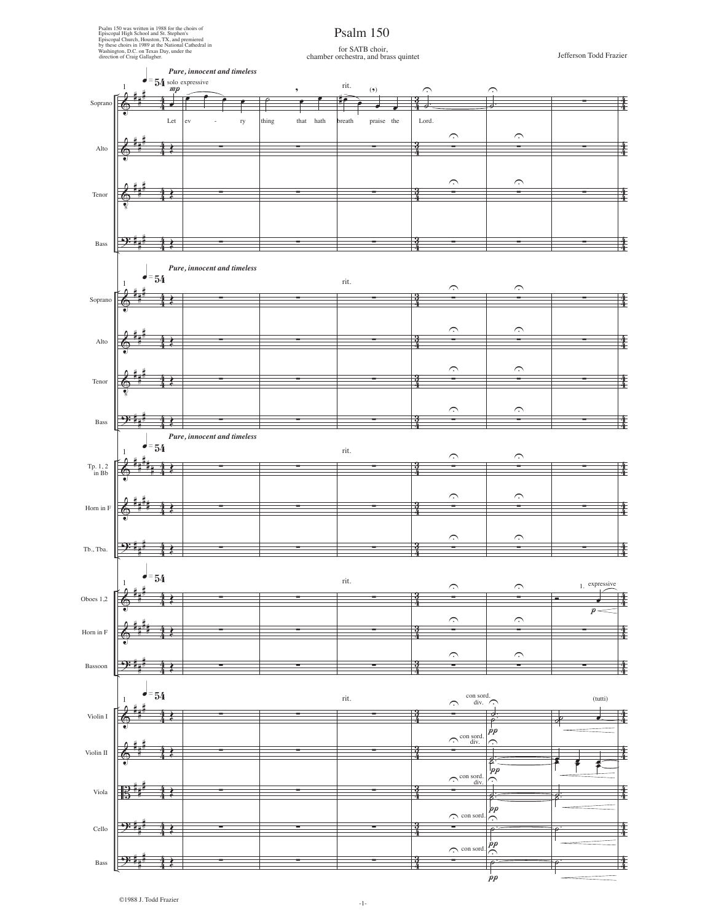Psalm 150 was written in 1988 for the choirs of<br>Episcopal High Schol and St. Stephen's<br>Episcopal Church, Houston, TX, and premiered<br>by these choirs in 1989 at the National Cathedral in<br>Washington, D.C. on Texas Day, under

## Psalm 150

## for SATB choir, chamber orchestra, and brass quintet

Jefferson Todd Frazier

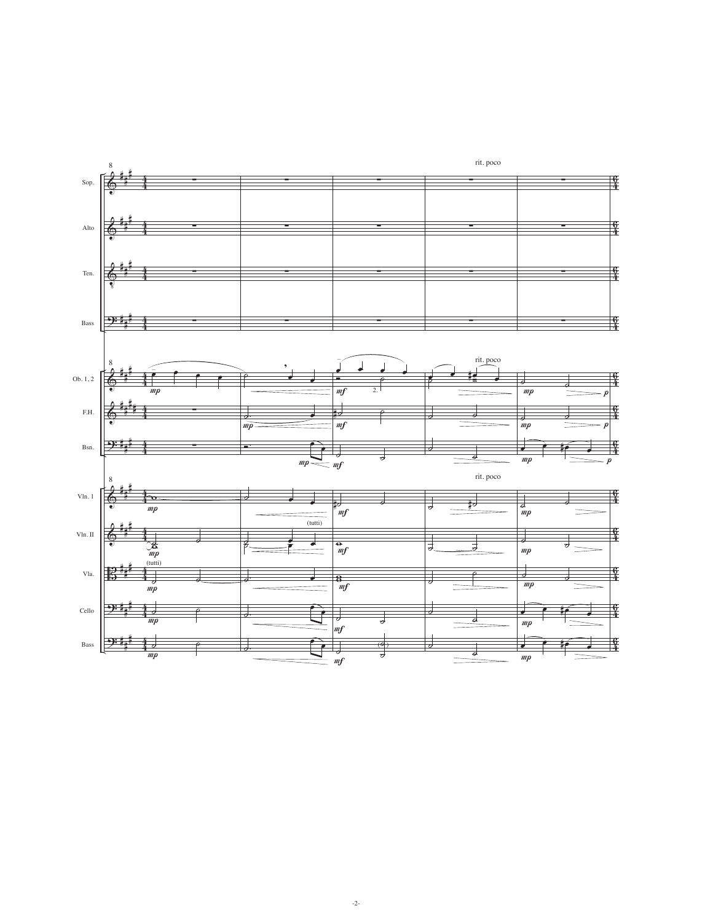

- 2 -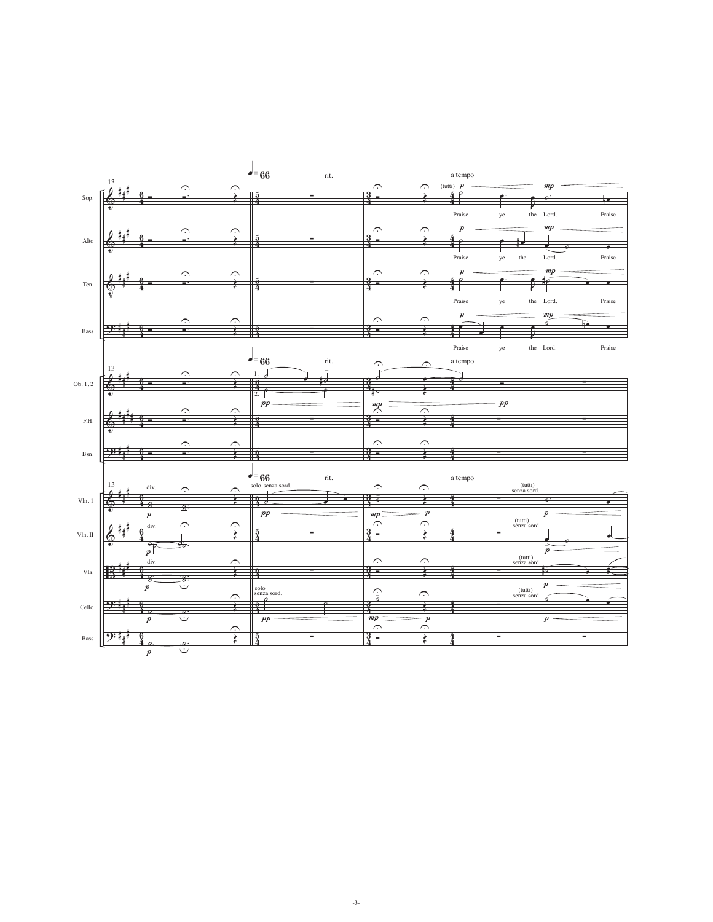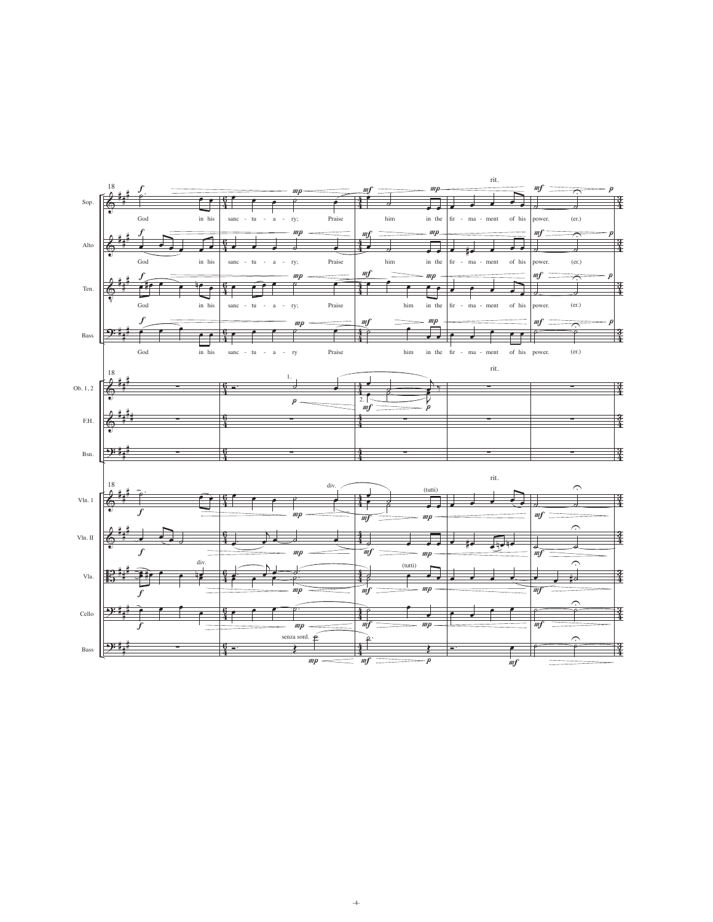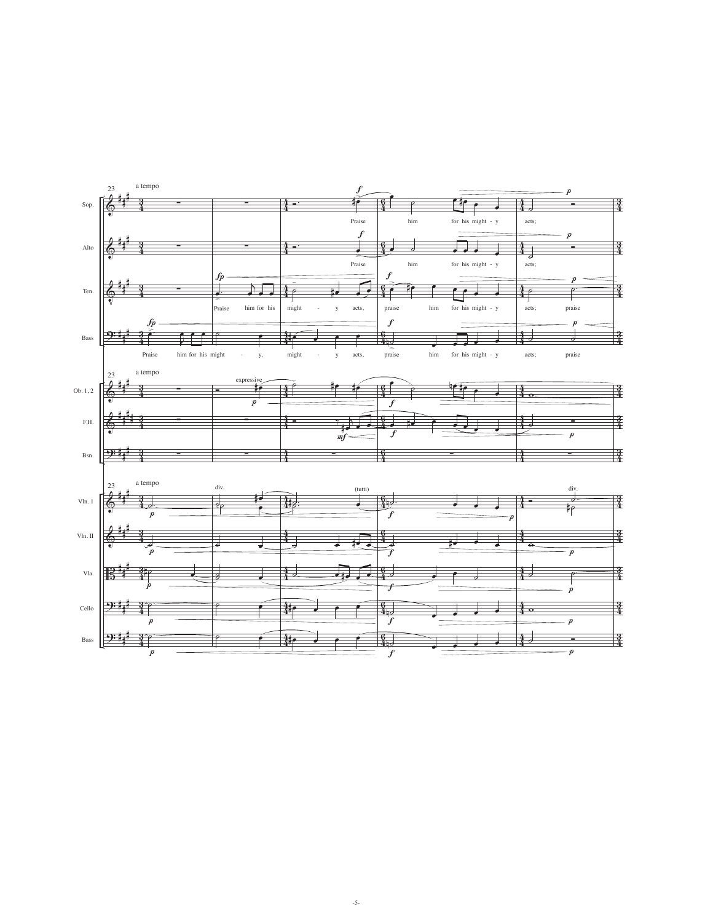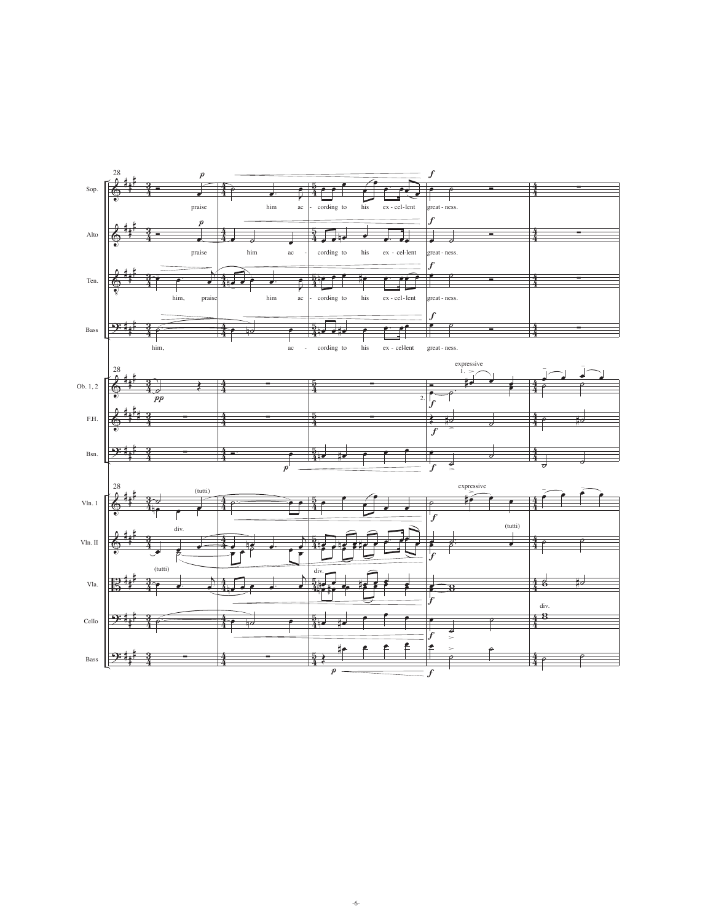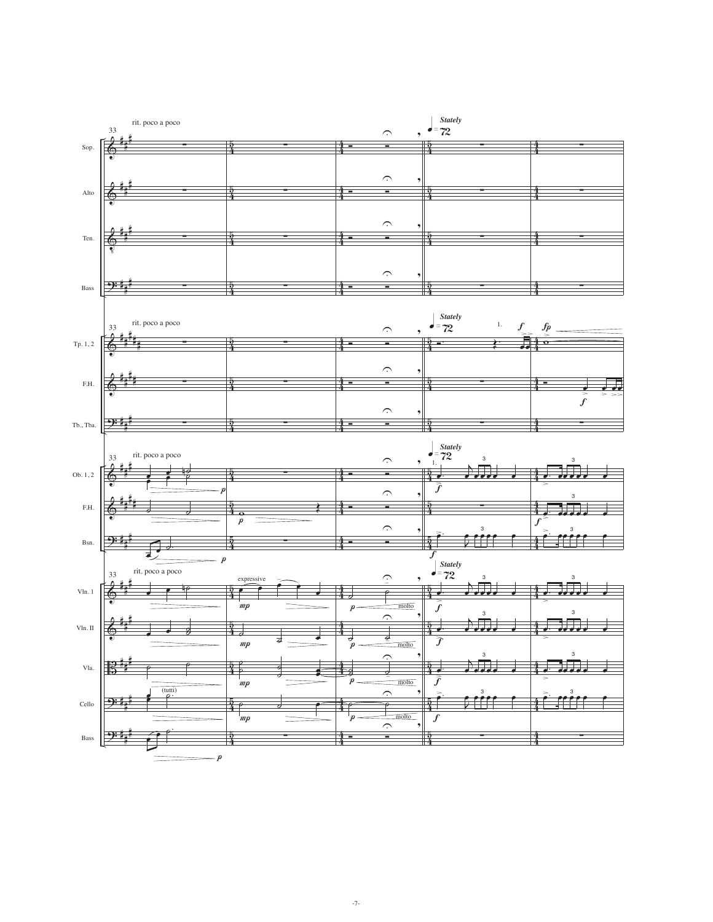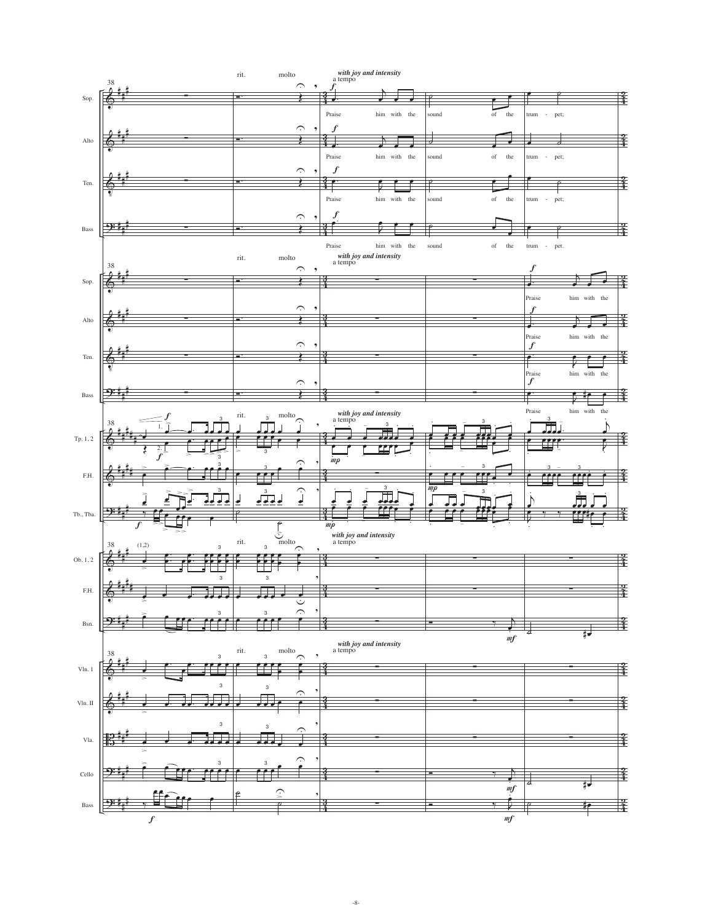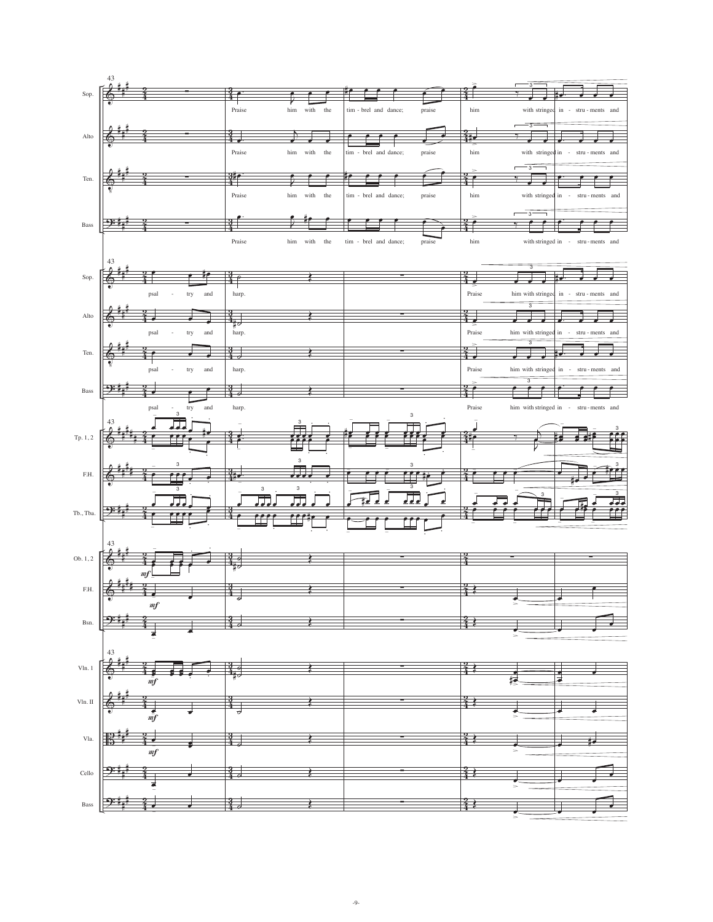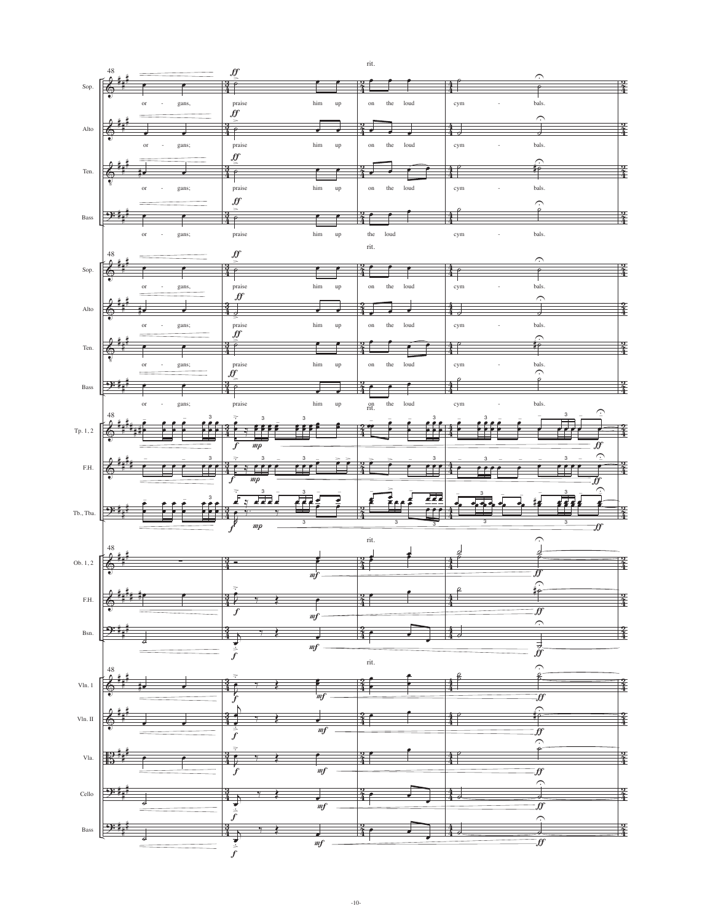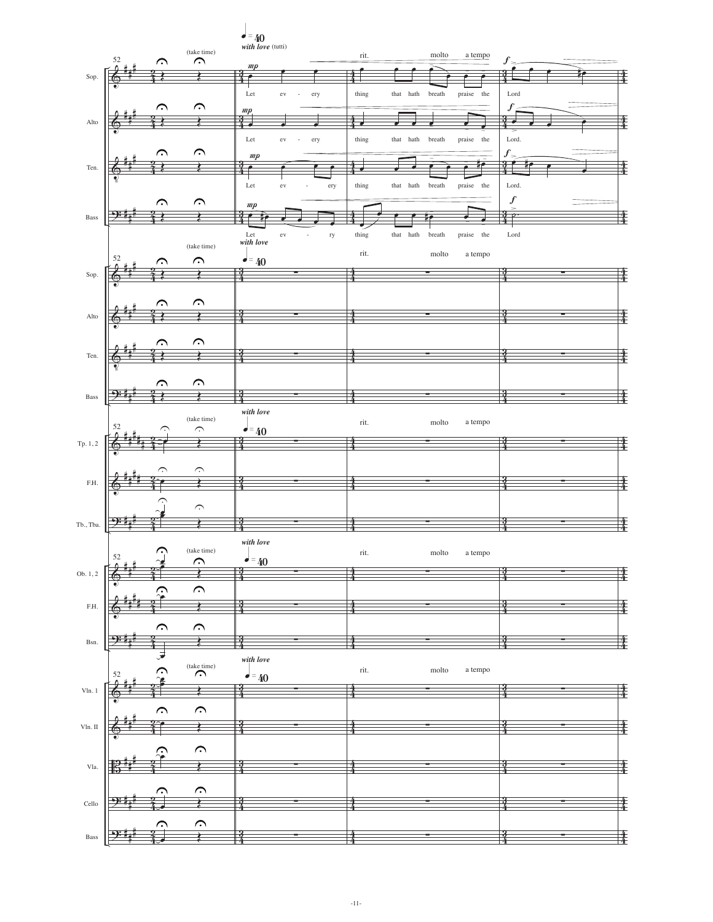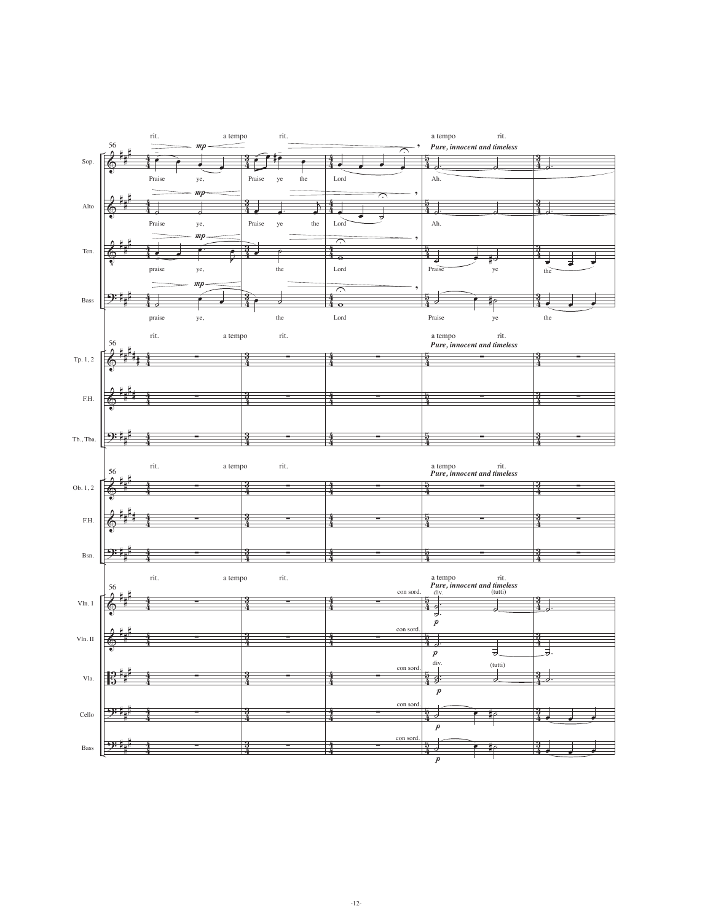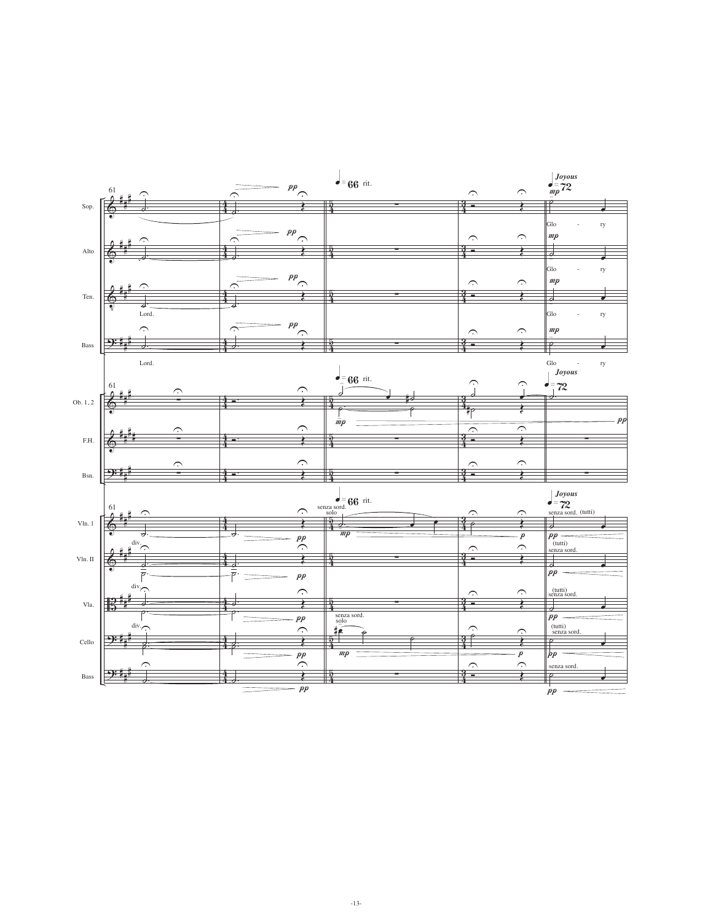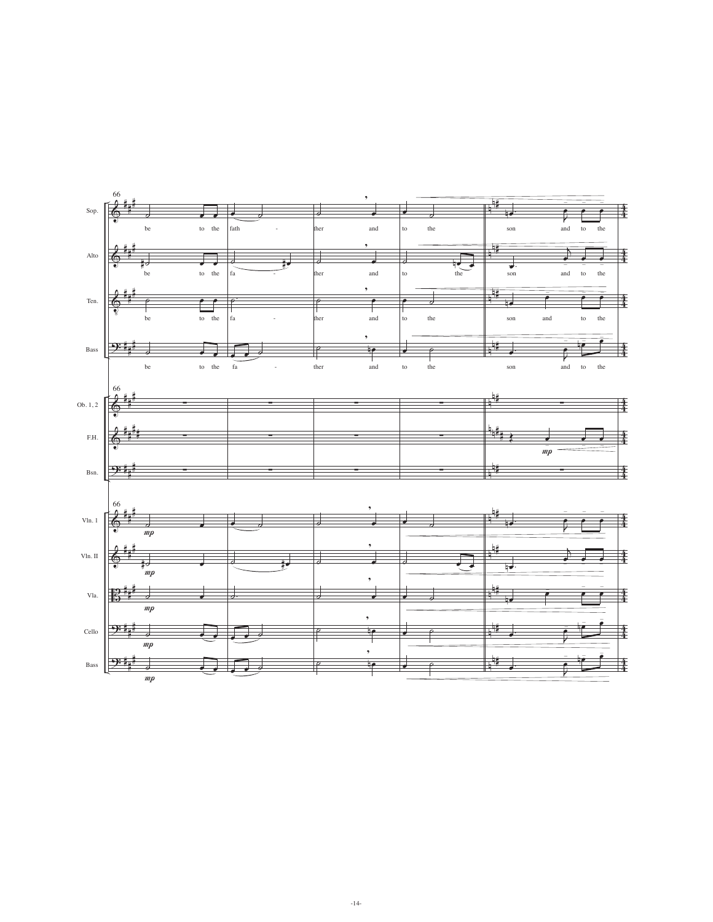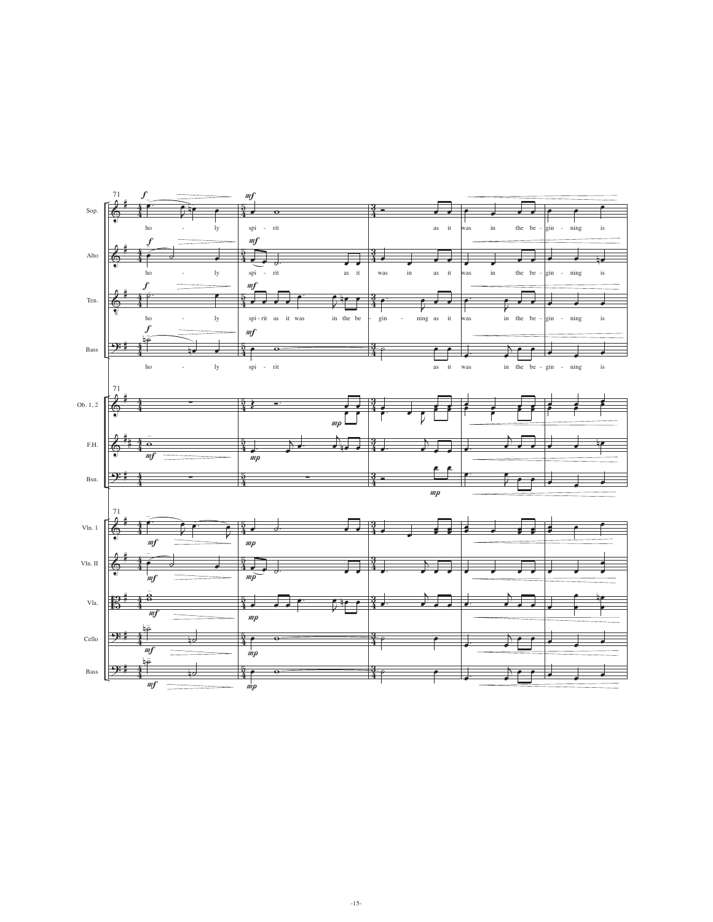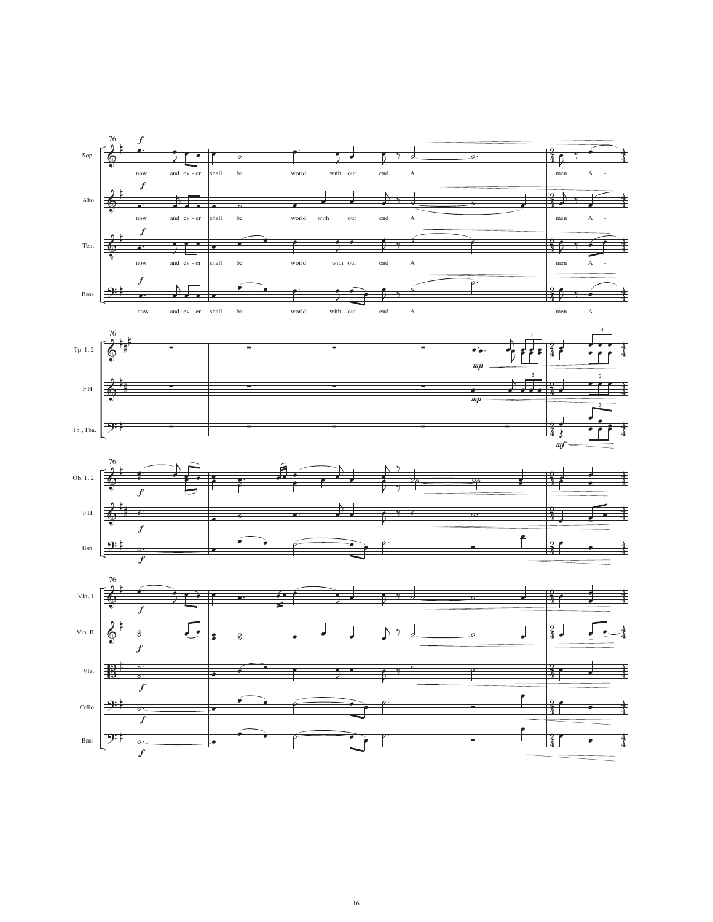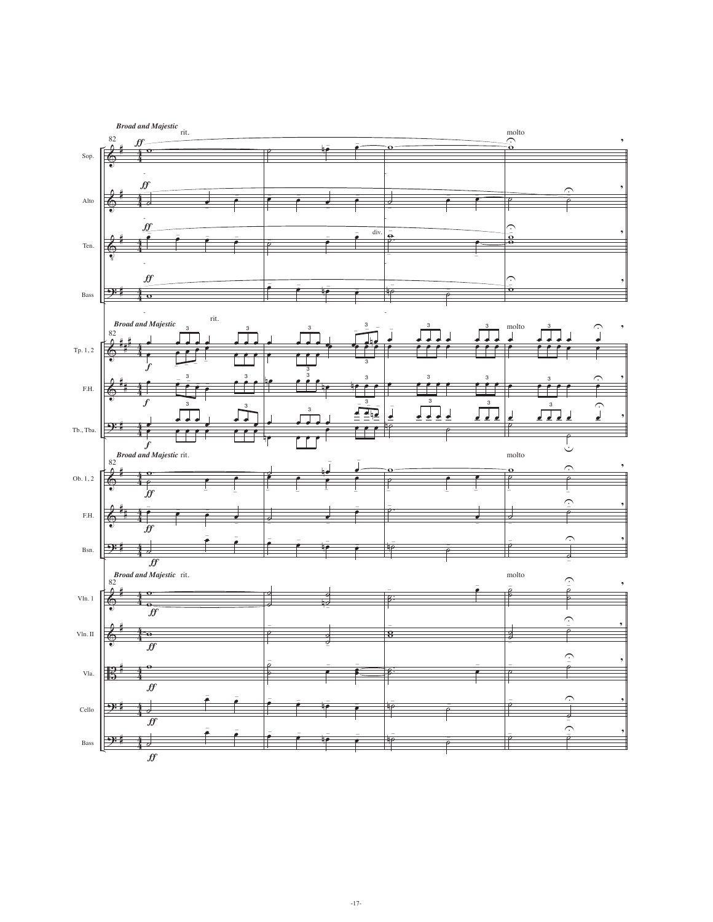